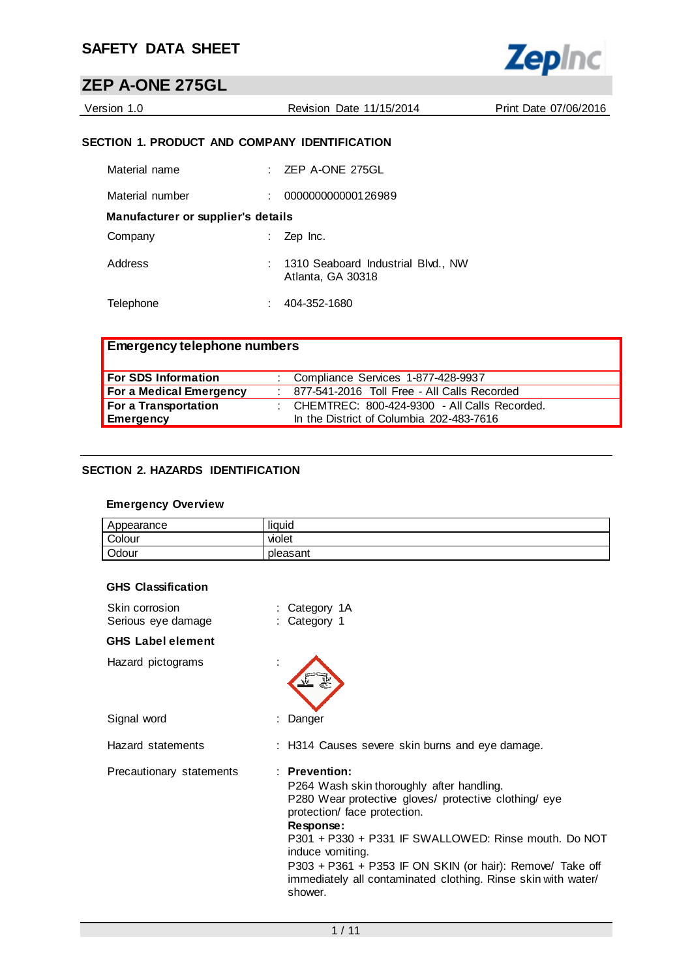

# **ZEP A-ONE 275GL**

| Version 1.0 | Revision Date 11/15/2014 | Print Date 07/06/2016 |
|-------------|--------------------------|-----------------------|
|             |                          |                       |

## **SECTION 1. PRODUCT AND COMPANY IDENTIFICATION**

| Material name                      | ZEP A-ONE 275GL                                         |
|------------------------------------|---------------------------------------------------------|
| Material number                    | 000000000000126989                                      |
| Manufacturer or supplier's details |                                                         |
| Company                            | Zep Inc.                                                |
| Address                            | 1310 Seaboard Industrial Blvd., NW<br>Atlanta, GA 30318 |
| Telephone                          | 404-352-1680                                            |

| <b>Emergency telephone numbers</b> |                                                  |
|------------------------------------|--------------------------------------------------|
| <b>For SDS Information</b>         | : Compliance Services 1-877-428-9937             |
| For a Medical Emergency            | : 877-541-2016 Toll Free - All Calls Recorded    |
| For a Transportation               | : CHEMTREC: $800-424-9300$ - All Calls Recorded. |
| Emergency                          | In the District of Columbia 202-483-7616         |

## **SECTION 2. HAZARDS IDENTIFICATION**

## **Emergency Overview**

| Appearance | <br>. .<br>liauid |
|------------|-------------------|
| Colour     | violet            |
| Odour      | pleasant          |

|  |  | <b>GHS Classification</b> |
|--|--|---------------------------|
|--|--|---------------------------|

| Skin corrosion<br>Serious eye damage | : Category 1A<br>: Category 1                                                                                                                                                                                                                                                                                                                                                           |
|--------------------------------------|-----------------------------------------------------------------------------------------------------------------------------------------------------------------------------------------------------------------------------------------------------------------------------------------------------------------------------------------------------------------------------------------|
| <b>GHS Label element</b>             |                                                                                                                                                                                                                                                                                                                                                                                         |
| Hazard pictograms                    |                                                                                                                                                                                                                                                                                                                                                                                         |
| Signal word                          | : Danger                                                                                                                                                                                                                                                                                                                                                                                |
| Hazard statements                    | : H314 Causes severe skin burns and eye damage.                                                                                                                                                                                                                                                                                                                                         |
| Precautionary statements             | $:$ Prevention:<br>P264 Wash skin thoroughly after handling.<br>P280 Wear protective gloves/ protective clothing/ eye<br>protection/ face protection.<br>Response:<br>P301 + P330 + P331 IF SWALLOWED: Rinse mouth. Do NOT<br>induce vomiting.<br>P303 + P361 + P353 IF ON SKIN (or hair): Remove/ Take off<br>immediately all contaminated clothing. Rinse skin with water/<br>shower. |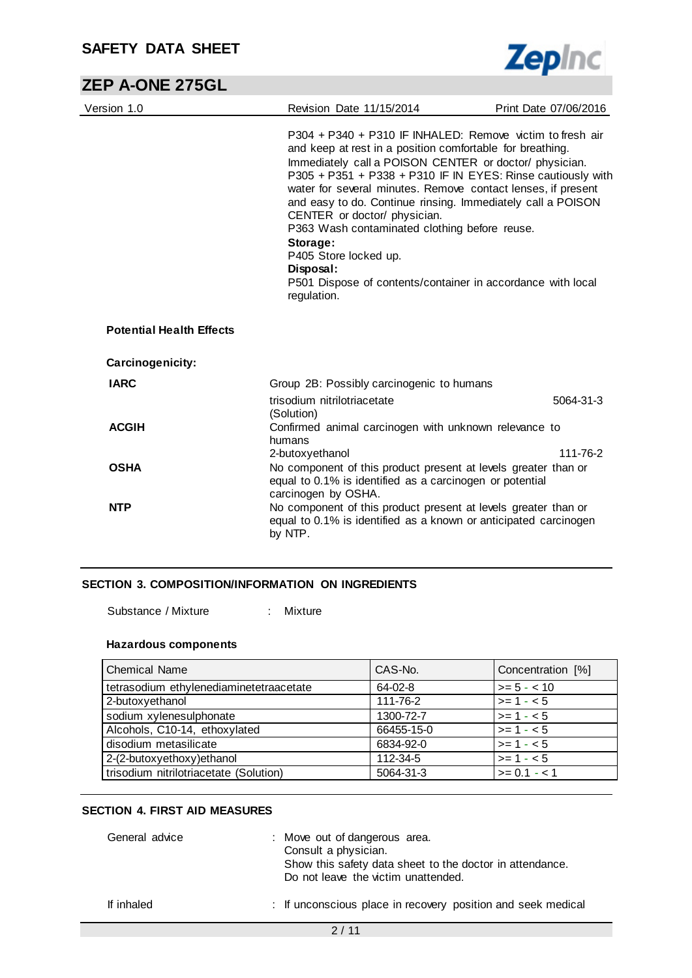# **ZEP A-ONE 275GL**

| Version 1.0                     | Revision Date 11/15/2014                                                                                                                                                                                                                                                                                                                                                                                                                                                                                                                                                                        | Print Date 07/06/2016 |
|---------------------------------|-------------------------------------------------------------------------------------------------------------------------------------------------------------------------------------------------------------------------------------------------------------------------------------------------------------------------------------------------------------------------------------------------------------------------------------------------------------------------------------------------------------------------------------------------------------------------------------------------|-----------------------|
|                                 | P304 + P340 + P310 IF INHALED: Remove victim to fresh air<br>and keep at rest in a position comfortable for breathing.<br>Immediately call a POISON CENTER or doctor/ physician.<br>P305 + P351 + P338 + P310 IF IN EYES: Rinse cautiously with<br>water for several minutes. Remove contact lenses, if present<br>and easy to do. Continue rinsing. Immediately call a POISON<br>CENTER or doctor/ physician.<br>P363 Wash contaminated clothing before reuse.<br>Storage:<br>P405 Store locked up.<br>Disposal:<br>P501 Dispose of contents/container in accordance with local<br>regulation. |                       |
| <b>Potential Health Effects</b> |                                                                                                                                                                                                                                                                                                                                                                                                                                                                                                                                                                                                 |                       |
| Carcinogenicity:                |                                                                                                                                                                                                                                                                                                                                                                                                                                                                                                                                                                                                 |                       |
| <b>IARC</b>                     | Group 2B: Possibly carcinogenic to humans                                                                                                                                                                                                                                                                                                                                                                                                                                                                                                                                                       |                       |
|                                 | trisodium nitrilotriacetate                                                                                                                                                                                                                                                                                                                                                                                                                                                                                                                                                                     | 5064-31-3             |
| <b>ACGIH</b>                    | (Solution)<br>Confirmed animal carcinogen with unknown relevance to<br>humans                                                                                                                                                                                                                                                                                                                                                                                                                                                                                                                   |                       |
|                                 | 2-butoxyethanol                                                                                                                                                                                                                                                                                                                                                                                                                                                                                                                                                                                 | 111-76-2              |
| <b>OSHA</b>                     | No component of this product present at levels greater than or<br>equal to 0.1% is identified as a carcinogen or potential<br>carcinogen by OSHA.                                                                                                                                                                                                                                                                                                                                                                                                                                               |                       |
| <b>NTP</b>                      | No component of this product present at levels greater than or<br>equal to 0.1% is identified as a known or anticipated carcinogen<br>by NTP.                                                                                                                                                                                                                                                                                                                                                                                                                                                   |                       |

#### **SECTION 3. COMPOSITION/INFORMATION ON INGREDIENTS**

Substance / Mixture : Mixture

## **Hazardous components**

| <b>Chemical Name</b>                    | CAS-No.    | Concentration [%] |
|-----------------------------------------|------------|-------------------|
| tetrasodium ethylenediaminetetraacetate | 64-02-8    | $>= 5 - < 10$     |
| 2-butoxyethanol                         | 111-76-2   | $>= 1 - 5$        |
| sodium xylenesulphonate                 | 1300-72-7  | $>= 1 - 5$        |
| Alcohols, C10-14, ethoxylated           | 66455-15-0 | $>= 1 - 5$        |
| disodium metasilicate                   | 6834-92-0  | $>= 1 - 5$        |
| 2-(2-butoxyethoxy)ethanol               | 112-34-5   | $>= 1 - 5$        |
| trisodium nitrilotriacetate (Solution)  | 5064-31-3  | $>= 0.1 - 1$      |

## **SECTION 4. FIRST AID MEASURES**

| General advice | : Move out of dangerous area.<br>Consult a physician.<br>Show this safety data sheet to the doctor in attendance.<br>Do not leave the victim unattended. |
|----------------|----------------------------------------------------------------------------------------------------------------------------------------------------------|
| If inhaled     | : If unconscious place in recovery position and seek medical                                                                                             |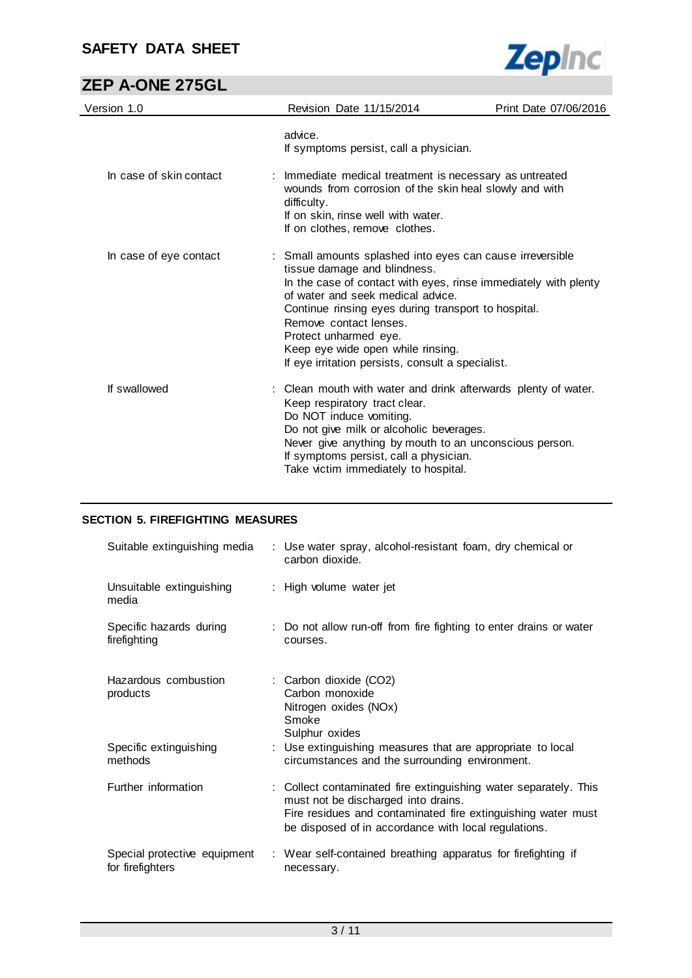

# **ZEP A-ONE 275GL**

| Version 1.0             | Revision Date 11/15/2014                                                                                                                                                                                                                                                                                                                                                                              | Print Date 07/06/2016 |
|-------------------------|-------------------------------------------------------------------------------------------------------------------------------------------------------------------------------------------------------------------------------------------------------------------------------------------------------------------------------------------------------------------------------------------------------|-----------------------|
|                         | advice.<br>If symptoms persist, call a physician.                                                                                                                                                                                                                                                                                                                                                     |                       |
| In case of skin contact | : Immediate medical treatment is necessary as untreated<br>wounds from corrosion of the skin heal slowly and with<br>difficulty.<br>If on skin, rinse well with water.<br>If on clothes, remove clothes.                                                                                                                                                                                              |                       |
| In case of eye contact  | : Small amounts splashed into eyes can cause irreversible<br>tissue damage and blindness.<br>In the case of contact with eyes, rinse immediately with plenty<br>of water and seek medical advice.<br>Continue rinsing eyes during transport to hospital.<br>Remove contact lenses.<br>Protect unharmed eye.<br>Keep eye wide open while rinsing.<br>If eye irritation persists, consult a specialist. |                       |
| If swallowed            | : Clean mouth with water and drink afterwards plenty of water.<br>Keep respiratory tract clear.<br>Do NOT induce vomiting.<br>Do not give milk or alcoholic beverages.<br>Never give anything by mouth to an unconscious person.<br>If symptoms persist, call a physician.<br>Take victim immediately to hospital.                                                                                    |                       |

### **SECTION 5. FIREFIGHTING MEASURES**

| Suitable extinguishing media                     | : Use water spray, alcohol-resistant foam, dry chemical or<br>carbon dioxide.                                                                                                                                                   |
|--------------------------------------------------|---------------------------------------------------------------------------------------------------------------------------------------------------------------------------------------------------------------------------------|
| Unsuitable extinguishing<br>media                | : High volume water jet                                                                                                                                                                                                         |
| Specific hazards during<br>firefighting          | : Do not allow run-off from fire fighting to enter drains or water<br>courses.                                                                                                                                                  |
| Hazardous combustion<br>products                 | : Carbon dioxide (CO2)<br>Carbon monoxide<br>Nitrogen oxides (NOx)<br>Smoke<br>Sulphur oxides                                                                                                                                   |
| Specific extinguishing<br>methods                | : Use extinguishing measures that are appropriate to local<br>circumstances and the surrounding environment.                                                                                                                    |
| Further information                              | : Collect contaminated fire extinguishing water separately. This<br>must not be discharged into drains.<br>Fire residues and contaminated fire extinguishing water must<br>be disposed of in accordance with local regulations. |
| Special protective equipment<br>for firefighters | : Wear self-contained breathing apparatus for firefighting if<br>necessary.                                                                                                                                                     |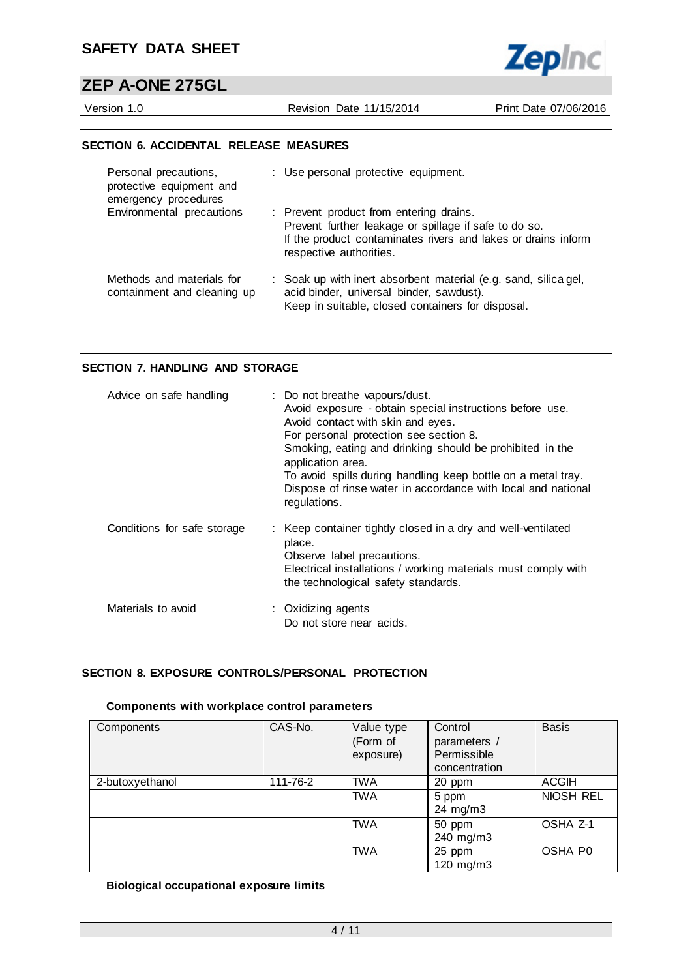# **ZEP A-ONE 275GL**

Version 1.0 Revision Date 11/15/2014 Print Date 07/06/2016

**Zepinc** 

#### **SECTION 6. ACCIDENTAL RELEASE MEASURES**

| Personal precautions,<br>protective equipment and<br>emergency procedures | : Use personal protective equipment.                                                                                                                                                         |
|---------------------------------------------------------------------------|----------------------------------------------------------------------------------------------------------------------------------------------------------------------------------------------|
| Environmental precautions                                                 | : Prevent product from entering drains.<br>Prevent further leakage or spillage if safe to do so.<br>If the product contaminates rivers and lakes or drains inform<br>respective authorities. |
| Methods and materials for<br>containment and cleaning up                  | : Soak up with inert absorbent material (e.g. sand, silica gel,<br>acid binder, universal binder, sawdust).<br>Keep in suitable, closed containers for disposal.                             |

#### **SECTION 7. HANDLING AND STORAGE**

| Advice on safe handling     | : Do not breathe vapours/dust.<br>Avoid exposure - obtain special instructions before use.<br>Avoid contact with skin and eyes.<br>For personal protection see section 8.<br>Smoking, eating and drinking should be prohibited in the<br>application area.<br>To avoid spills during handling keep bottle on a metal tray.<br>Dispose of rinse water in accordance with local and national<br>regulations. |
|-----------------------------|------------------------------------------------------------------------------------------------------------------------------------------------------------------------------------------------------------------------------------------------------------------------------------------------------------------------------------------------------------------------------------------------------------|
| Conditions for safe storage | : Keep container tightly closed in a dry and well-ventilated<br>place.<br>Observe label precautions.<br>Electrical installations / working materials must comply with<br>the technological safety standards.                                                                                                                                                                                               |
| Materials to avoid          | : Oxidizing agents<br>Do not store near acids.                                                                                                                                                                                                                                                                                                                                                             |

#### **SECTION 8. EXPOSURE CONTROLS/PERSONAL PROTECTION**

#### **Components with workplace control parameters**

| Components      | CAS-No.  | Value type<br>(Form of<br>exposure) | Control<br>parameters /<br>Permissible<br>concentration | <b>Basis</b> |
|-----------------|----------|-------------------------------------|---------------------------------------------------------|--------------|
| 2-butoxyethanol | 111-76-2 | <b>TWA</b>                          | 20 ppm                                                  | <b>ACGIH</b> |
|                 |          | <b>TWA</b>                          | 5 ppm<br>24 mg/m3                                       | NIOSH REL    |
|                 |          | <b>TWA</b>                          | 50 ppm<br>240 mg/m3                                     | OSHA Z-1     |
|                 |          | <b>TWA</b>                          | 25 ppm<br>120 mg/m3                                     | OSHA P0      |

### **Biological occupational exposure limits**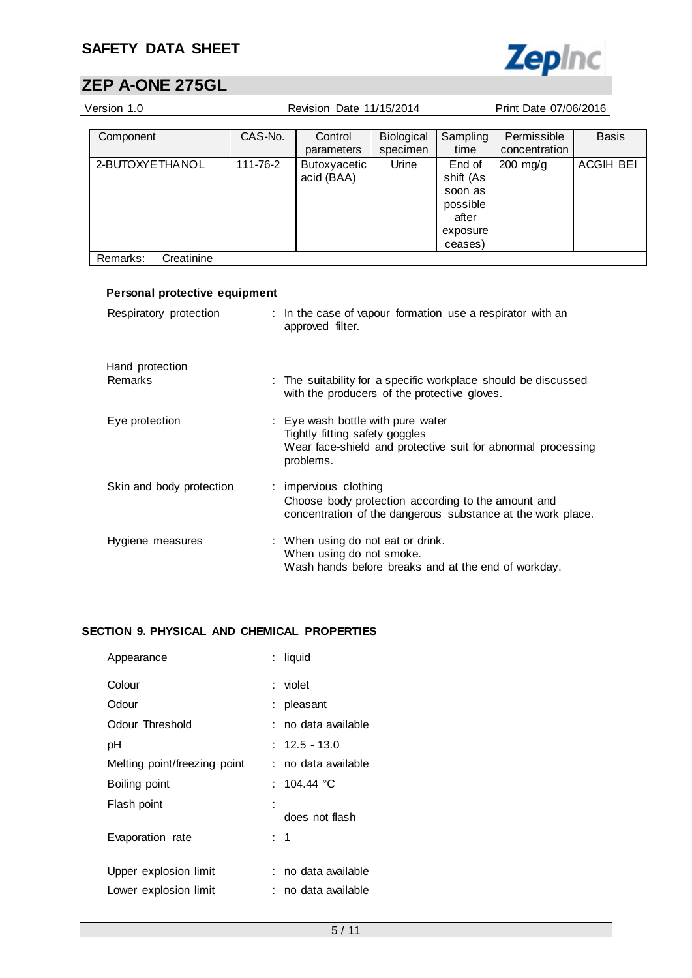

# **ZEP A-ONE 275GL**

| Version 1.0                   | Revision Date 11/15/2014<br>Print Date 07/06/2016 |                                                            |                   |           |                                                              |                  |
|-------------------------------|---------------------------------------------------|------------------------------------------------------------|-------------------|-----------|--------------------------------------------------------------|------------------|
|                               |                                                   |                                                            |                   |           |                                                              |                  |
| Component                     | CAS-No.                                           | Control                                                    | <b>Biological</b> | Sampling  | Permissible                                                  | <b>Basis</b>     |
|                               |                                                   | parameters                                                 | specimen          | time      | concentration                                                |                  |
| 2-BUTOXYE THANOL              | 111-76-2                                          | <b>Butoxyacetic</b>                                        | Urine             | End of    | $200$ mg/g                                                   | <b>ACGIH BEI</b> |
|                               |                                                   | acid (BAA)                                                 |                   | shift (As |                                                              |                  |
|                               |                                                   |                                                            |                   | soon as   |                                                              |                  |
|                               |                                                   |                                                            |                   | possible  |                                                              |                  |
|                               |                                                   |                                                            |                   | after     |                                                              |                  |
|                               |                                                   |                                                            |                   | exposure  |                                                              |                  |
|                               |                                                   |                                                            |                   | ceases)   |                                                              |                  |
| Remarks:<br>Creatinine        |                                                   |                                                            |                   |           |                                                              |                  |
|                               |                                                   |                                                            |                   |           |                                                              |                  |
| Personal protective equipment |                                                   |                                                            |                   |           |                                                              |                  |
|                               |                                                   |                                                            |                   |           |                                                              |                  |
| Respiratory protection        |                                                   | : In the case of vapour formation use a respirator with an |                   |           |                                                              |                  |
|                               |                                                   | approved filter.                                           |                   |           |                                                              |                  |
|                               |                                                   |                                                            |                   |           |                                                              |                  |
|                               |                                                   |                                                            |                   |           |                                                              |                  |
| Hand protection               |                                                   |                                                            |                   |           |                                                              |                  |
| <b>Remarks</b>                |                                                   | with the producers of the protective gloves.               |                   |           | The suitability for a specific workplace should be discussed |                  |

| Eye protection           | : Eye wash bottle with pure water<br>Tightly fitting safety goggles<br>Wear face-shield and protective suit for abnormal processing<br>problems. |
|--------------------------|--------------------------------------------------------------------------------------------------------------------------------------------------|
| Skin and body protection | : impervious clothing<br>Choose body protection according to the amount and<br>concentration of the dangerous substance at the work place.       |
| Hygiene measures         | : When using do not eat or drink.<br>When using do not smoke.<br>Wash hands before breaks and at the end of workday.                             |

## **SECTION 9. PHYSICAL AND CHEMICAL PROPERTIES**

| Appearance                   | : liquid            |
|------------------------------|---------------------|
| Colour                       | : violet            |
| Odour                        | : pleasant          |
| Odour Threshold              | : no data available |
| рH                           | $: \;$ 12.5 - 13.0  |
| Melting point/freezing point | : no data available |
| Boiling point                | : 104.44 °C         |
| Flash point                  |                     |
|                              | does not flash      |
| Evaporation rate             | : 1                 |
|                              |                     |
| Upper explosion limit        | : no data available |
| Lower explosion limit        | : no data available |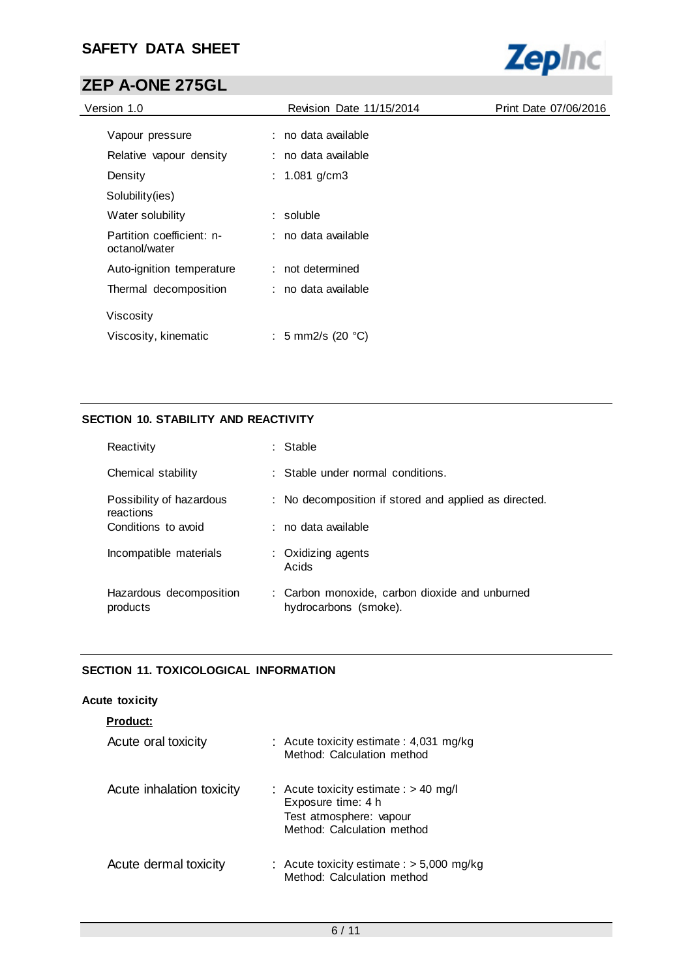

# **ZEP A-ONE 275GL**

| Revision Date 11/15/2014    | Print Date 07/06/2016 |
|-----------------------------|-----------------------|
| : no data available         |                       |
| : no data available         |                       |
| : 1.081 g/cm3               |                       |
|                             |                       |
| : soluble                   |                       |
| : no data available         |                       |
| : not determined            |                       |
| : no data available         |                       |
|                             |                       |
| : 5 mm2/s (20 $^{\circ}$ C) |                       |
|                             |                       |

## **SECTION 10. STABILITY AND REACTIVITY**

| Reactivity                            | : Stable                                                                |
|---------------------------------------|-------------------------------------------------------------------------|
| Chemical stability                    | $\therefore$ Stable under normal conditions.                            |
| Possibility of hazardous<br>reactions | : No decomposition if stored and applied as directed.                   |
| Conditions to avoid                   | ∶no data available                                                      |
| Incompatible materials                | : Oxidizing agents<br>Acids                                             |
| Hazardous decomposition<br>products   | : Carbon monoxide, carbon dioxide and unburned<br>hydrocarbons (smoke). |

### **SECTION 11. TOXICOLOGICAL INFORMATION**

#### **Acute toxicity**

| <b>Product:</b>           |                                                                                                                        |
|---------------------------|------------------------------------------------------------------------------------------------------------------------|
| Acute oral toxicity       | : Acute toxicity estimate : 4,031 mg/kg<br>Method: Calculation method                                                  |
| Acute inhalation toxicity | : Acute toxicity estimate : $> 40$ mg/l<br>Exposure time: 4 h<br>Test atmosphere: vapour<br>Method: Calculation method |
| Acute dermal toxicity     | : Acute toxicity estimate : $> 5,000$ mg/kg<br>Method: Calculation method                                              |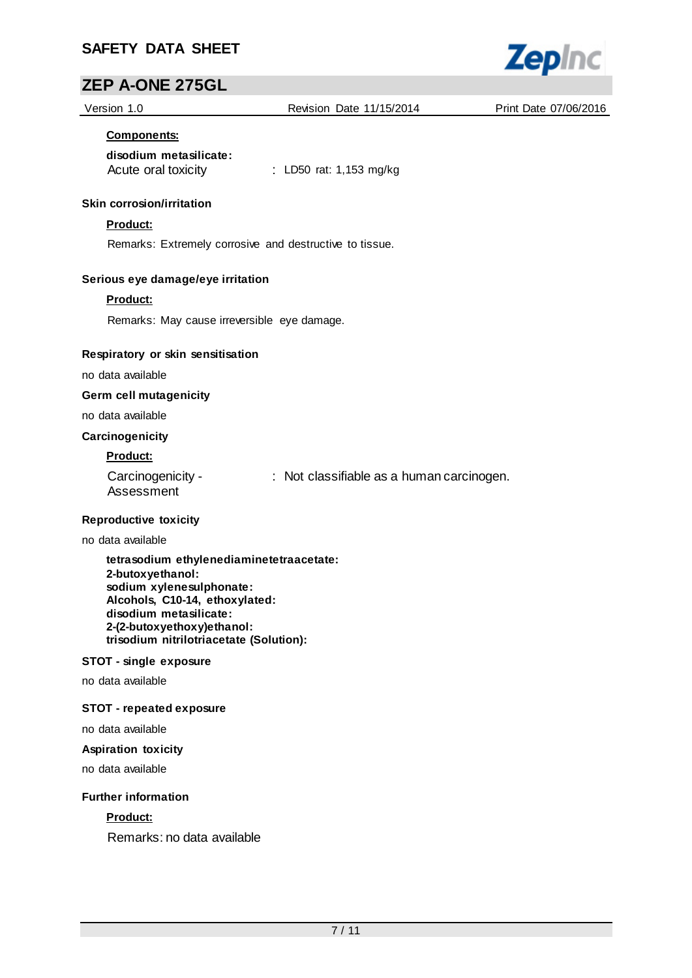

Version 1.0 Revision Date 11/15/2014 Print Date 07/06/2016

**Zepinc** 

#### **Components:**

## **disodium metasilicate:**

Acute oral toxicity : LD50 rat: 1,153 mg/kg

#### **Skin corrosion/irritation**

#### **Product:**

Remarks: Extremely corrosive and destructive to tissue.

#### **Serious eye damage/eye irritation**

#### **Product:**

Remarks: May cause irreversible eye damage.

#### **Respiratory or skin sensitisation**

no data available

**Germ cell mutagenicity**

no data available

#### **Carcinogenicity**

#### **Product:**

| Carcinogenicity - | : Not classifiable as a human carcinogen. |
|-------------------|-------------------------------------------|
| Assessment        |                                           |

#### **Reproductive toxicity**

no data available

**tetrasodium ethylenediaminetetraacetate: 2-butoxyethanol: sodium xylenesulphonate: Alcohols, C10-14, ethoxylated: disodium metasilicate: 2-(2-butoxyethoxy)ethanol: trisodium nitrilotriacetate (Solution):**

#### **STOT - single exposure**

no data available

### **STOT - repeated exposure**

no data available

#### **Aspiration toxicity**

no data available

#### **Further information**

#### **Product:**

Remarks: no data available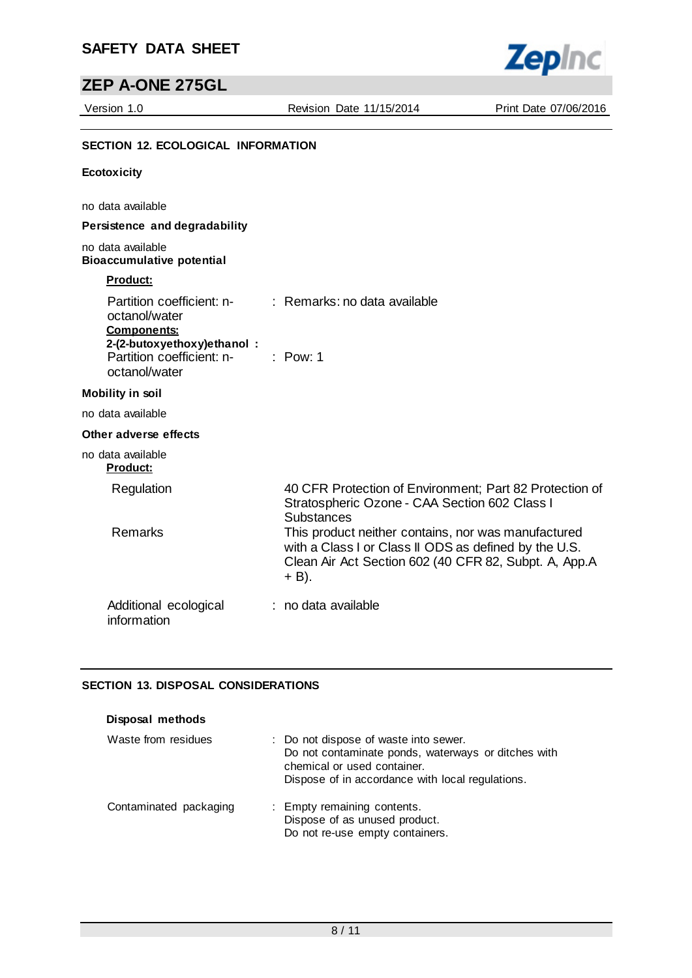# **ZEP A-ONE 275GL**

Version 1.0 Revision Date 11/15/2014 Print Date 07/06/2016

**Zepinc** 

## **SECTION 12. ECOLOGICAL INFORMATION**

#### **Ecotoxicity**

no data available

#### **Persistence and degradability**

### no data available **Bioaccumulative potential**

## **Product:**

| Partition coefficient: n-<br>octanol/water<br><b>Components:</b><br>2-(2-butoxyethoxy)ethanol:<br>Partition coefficient: n- : Pow: 1<br>octanol/water | $\therefore$ Remarks: no data available                                                                                                                               |
|-------------------------------------------------------------------------------------------------------------------------------------------------------|-----------------------------------------------------------------------------------------------------------------------------------------------------------------------|
| <b>Mobility in soil</b>                                                                                                                               |                                                                                                                                                                       |
| no data available                                                                                                                                     |                                                                                                                                                                       |
| Other adverse effects                                                                                                                                 |                                                                                                                                                                       |
| no data available<br><u>Product:</u>                                                                                                                  |                                                                                                                                                                       |
| Regulation                                                                                                                                            | 40 CFR Protection of Environment; Part 82 Protection of<br>Stratospheric Ozone - CAA Section 602 Class I<br><b>Substances</b>                                         |
| Remarks                                                                                                                                               | This product neither contains, nor was manufactured<br>with a Class I or Class II ODS as defined by the U.S.<br>Clean Air Act Section 602 (40 CFR 82, Subpt. A, App.A |

#### Additional ecological information : no data available

 $+$  B).

#### **SECTION 13. DISPOSAL CONSIDERATIONS**

| Disposal methods       |                                                                                                                                                                                 |
|------------------------|---------------------------------------------------------------------------------------------------------------------------------------------------------------------------------|
| Waste from residues    | : Do not dispose of waste into sewer.<br>Do not contaminate ponds, waterways or ditches with<br>chemical or used container.<br>Dispose of in accordance with local regulations. |
| Contaminated packaging | : Empty remaining contents.<br>Dispose of as unused product.<br>Do not re-use empty containers.                                                                                 |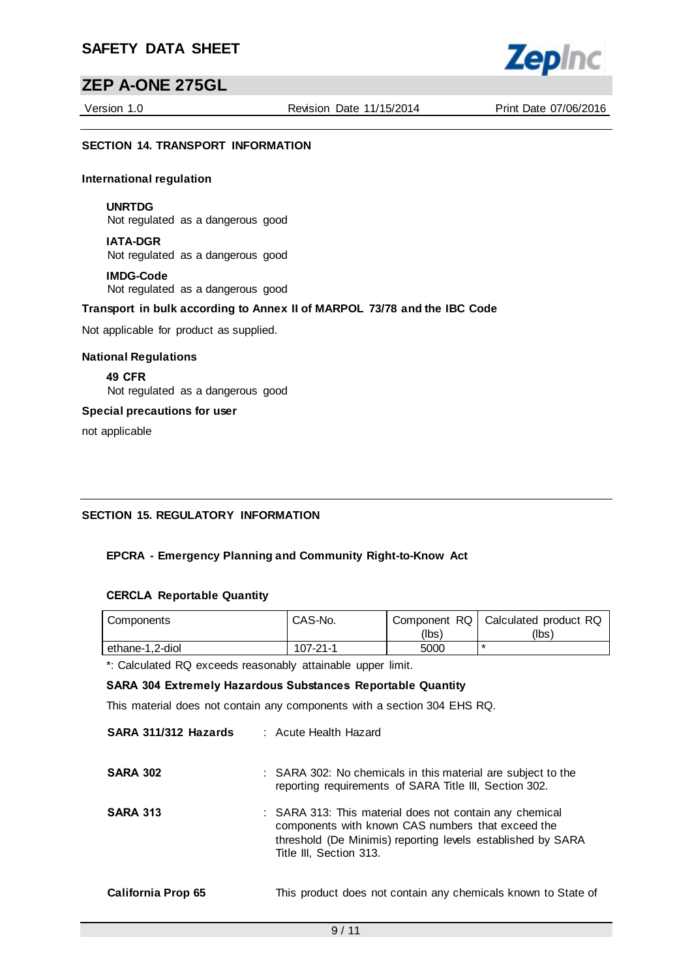## **ZEP A-ONE 275GL**

Version 1.0 Revision Date 11/15/2014 Print Date 07/06/2016

**Zepinc** 

#### **SECTION 14. TRANSPORT INFORMATION**

#### **International regulation**

**UNRTDG** Not regulated as a dangerous good

**IATA-DGR** Not regulated as a dangerous good

**IMDG-Code** Not regulated as a dangerous good

#### **Transport in bulk according to Annex II of MARPOL 73/78 and the IBC Code**

Not applicable for product as supplied.

#### **National Regulations**

**49 CFR** Not regulated as a dangerous good

#### **Special precautions for user**

not applicable

### **SECTION 15. REGULATORY INFORMATION**

### **EPCRA - Emergency Planning and Community Right-to-Know Act**

#### **CERCLA Reportable Quantity**

| Components      | CAS-No.  |       | Component RQ   Calculated product RQ |
|-----------------|----------|-------|--------------------------------------|
|                 |          | (lbs) | (Ibs)                                |
| ethane-1.2-diol | 107-21-1 | 5000  |                                      |

\*: Calculated RQ exceeds reasonably attainable upper limit.

#### **SARA 304 Extremely Hazardous Substances Reportable Quantity**

This material does not contain any components with a section 304 EHS RQ.

| SARA 311/312 Hazards | : Acute Health Hazard                                                                                                                                                                                  |
|----------------------|--------------------------------------------------------------------------------------------------------------------------------------------------------------------------------------------------------|
| <b>SARA 302</b>      | : SARA 302: No chemicals in this material are subject to the<br>reporting requirements of SARA Title III, Section 302.                                                                                 |
| <b>SARA 313</b>      | : SARA 313: This material does not contain any chemical<br>components with known CAS numbers that exceed the<br>threshold (De Minimis) reporting levels established by SARA<br>Title III, Section 313. |
| California Prop 65   | This product does not contain any chemicals known to State of                                                                                                                                          |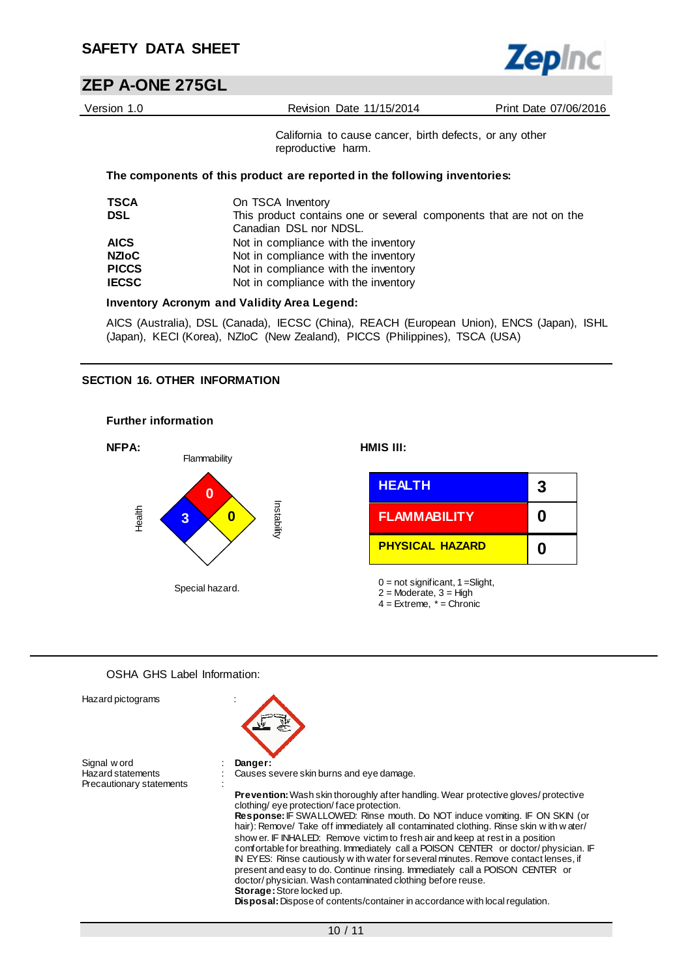

# **ZEP A-ONE 275GL**

| Version 1.0  | Revision Date 11/15/2014                                                                      | Print Date 07/06/2016 |
|--------------|-----------------------------------------------------------------------------------------------|-----------------------|
|              | California to cause cancer, birth defects, or any other<br>reproductive harm.                 |                       |
|              | The components of this product are reported in the following inventories:                     |                       |
| <b>TSCA</b>  | On TSCA Inventory                                                                             |                       |
| <b>DSL</b>   | This product contains one or several components that are not on the<br>Canadian DSL nor NDSL. |                       |
| <b>AICS</b>  | Not in compliance with the inventory                                                          |                       |
| <b>NZIOC</b> | Not in compliance with the inventory                                                          |                       |
| <b>PICCS</b> | Not in compliance with the inventory                                                          |                       |
| <b>IECSC</b> | Not in compliance with the inventory                                                          |                       |
|              | <b>Inventory Acronym and Validity Area Legend:</b>                                            |                       |
|              | AICS (Australia), DSL (Canada), IECSC (China), REACH (European Union), ENCS (Japan), ISHL     |                       |

(Japan), KECI (Korea), NZIoC (New Zealand), PICCS (Philippines), TSCA (USA)

#### **SECTION 16. OTHER INFORMATION**



#### OSHA GHS Label Information:

| Hazard pictograms        |                                                                                                                                                                                                                                                                                                                                                                                                                                                                                                                                                                                                                                                                                                                                                                                                                                                         |
|--------------------------|---------------------------------------------------------------------------------------------------------------------------------------------------------------------------------------------------------------------------------------------------------------------------------------------------------------------------------------------------------------------------------------------------------------------------------------------------------------------------------------------------------------------------------------------------------------------------------------------------------------------------------------------------------------------------------------------------------------------------------------------------------------------------------------------------------------------------------------------------------|
| Signal w ord             | Danger:                                                                                                                                                                                                                                                                                                                                                                                                                                                                                                                                                                                                                                                                                                                                                                                                                                                 |
| <b>Hazard statements</b> | Causes severe skin burns and eye damage.                                                                                                                                                                                                                                                                                                                                                                                                                                                                                                                                                                                                                                                                                                                                                                                                                |
| Precautionary statements |                                                                                                                                                                                                                                                                                                                                                                                                                                                                                                                                                                                                                                                                                                                                                                                                                                                         |
|                          | <b>Prevention:</b> Wash skin thoroughly after handling. Wear protective gloves/protective<br>clothing/eye protection/face protection.<br>Response: IF SWALLOWED: Rinse mouth. Do NOT induce vomiting. IF ON SKIN (or<br>hair): Remove/ Take off immediately all contaminated clothing. Rinse skin with water/<br>show er. IF INHALED: Remove victim to fresh air and keep at rest in a position<br>comfortable for breathing. Immediately call a POISON CENTER or doctor/physician. IF<br>IN EYES: Rinse cautiously with water for several minutes. Remove contact lenses, if<br>present and easy to do. Continue rinsing. Immediately call a POISON CENTER or<br>doctor/physician. Wash contaminated clothing before reuse.<br><b>Storage:</b> Store locked up.<br><b>Disposal:</b> Dispose of contents/container in accordance with local regulation. |